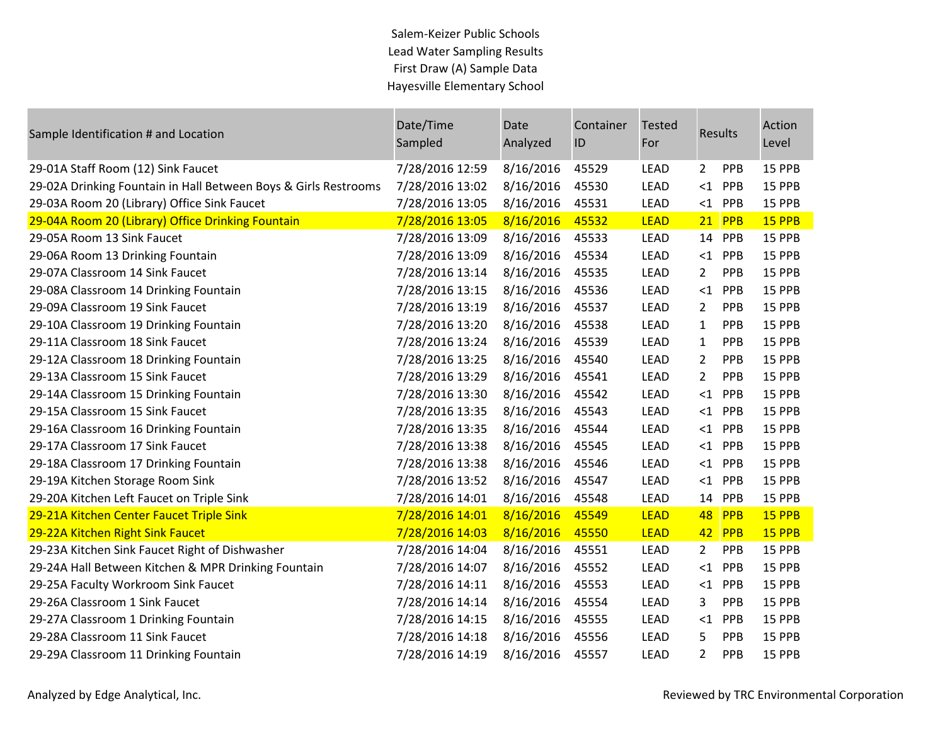## Salem-Keizer Public Schools Lead Water Sampling Results First Draw (A) Sample Data Hayesville Elementary School

| Sample Identification # and Location                            | Date/Time<br>Sampled | Date<br>Analyzed | Container<br>ID | <b>Tested</b><br>For |                       | Results    | Action<br>Level |
|-----------------------------------------------------------------|----------------------|------------------|-----------------|----------------------|-----------------------|------------|-----------------|
| 29-01A Staff Room (12) Sink Faucet                              | 7/28/2016 12:59      | 8/16/2016        | 45529           | <b>LEAD</b>          | $2^{\circ}$           | PPB        | 15 PPB          |
| 29-02A Drinking Fountain in Hall Between Boys & Girls Restrooms | 7/28/2016 13:02      | 8/16/2016        | 45530           | <b>LEAD</b>          | $\leq$ 1              | PPB        | 15 PPB          |
| 29-03A Room 20 (Library) Office Sink Faucet                     | 7/28/2016 13:05      | 8/16/2016        | 45531           | <b>LEAD</b>          |                       | $<$ 1 PPB  | 15 PPB          |
| 29-04A Room 20 (Library) Office Drinking Fountain               | 7/28/2016 13:05      | 8/16/2016        | 45532           | <b>LEAD</b>          |                       | $21$ PPB   | 15 PPB          |
| 29-05A Room 13 Sink Faucet                                      | 7/28/2016 13:09      | 8/16/2016        | 45533           | <b>LEAD</b>          |                       | 14 PPB     | 15 PPB          |
| 29-06A Room 13 Drinking Fountain                                | 7/28/2016 13:09      | 8/16/2016        | 45534           | <b>LEAD</b>          | $\leq 1$              | PPB        | 15 PPB          |
| 29-07A Classroom 14 Sink Faucet                                 | 7/28/2016 13:14      | 8/16/2016        | 45535           | LEAD                 | $2^{\circ}$           | PPB        | 15 PPB          |
| 29-08A Classroom 14 Drinking Fountain                           | 7/28/2016 13:15      | 8/16/2016        | 45536           | <b>LEAD</b>          | $\leq 1$              | PPB        | 15 PPB          |
| 29-09A Classroom 19 Sink Faucet                                 | 7/28/2016 13:19      | 8/16/2016        | 45537           | <b>LEAD</b>          | $\mathbf{2}^{\prime}$ | PPB        | 15 PPB          |
| 29-10A Classroom 19 Drinking Fountain                           | 7/28/2016 13:20      | 8/16/2016        | 45538           | <b>LEAD</b>          | $\mathbf{1}$          | PPB        | 15 PPB          |
| 29-11A Classroom 18 Sink Faucet                                 | 7/28/2016 13:24      | 8/16/2016        | 45539           | <b>LEAD</b>          | $\mathbf{1}$          | <b>PPB</b> | 15 PPB          |
| 29-12A Classroom 18 Drinking Fountain                           | 7/28/2016 13:25      | 8/16/2016        | 45540           | <b>LEAD</b>          | $\overline{2}$        | PPB        | 15 PPB          |
| 29-13A Classroom 15 Sink Faucet                                 | 7/28/2016 13:29      | 8/16/2016        | 45541           | <b>LEAD</b>          | $\mathbf{2}$          | <b>PPB</b> | 15 PPB          |
| 29-14A Classroom 15 Drinking Fountain                           | 7/28/2016 13:30      | 8/16/2016        | 45542           | <b>LEAD</b>          |                       | $<1$ PPB   | 15 PPB          |
| 29-15A Classroom 15 Sink Faucet                                 | 7/28/2016 13:35      | 8/16/2016        | 45543           | <b>LEAD</b>          | $\leq$ 1              | PPB        | 15 PPB          |
| 29-16A Classroom 16 Drinking Fountain                           | 7/28/2016 13:35      | 8/16/2016        | 45544           | <b>LEAD</b>          |                       | $<1$ PPB   | 15 PPB          |
| 29-17A Classroom 17 Sink Faucet                                 | 7/28/2016 13:38      | 8/16/2016        | 45545           | <b>LEAD</b>          |                       | $<$ 1 PPB  | 15 PPB          |
| 29-18A Classroom 17 Drinking Fountain                           | 7/28/2016 13:38      | 8/16/2016        | 45546           | <b>LEAD</b>          | $\leq$ 1              | PPB        | 15 PPB          |
| 29-19A Kitchen Storage Room Sink                                | 7/28/2016 13:52      | 8/16/2016        | 45547           | <b>LEAD</b>          |                       | $<$ 1 PPB  | 15 PPB          |
| 29-20A Kitchen Left Faucet on Triple Sink                       | 7/28/2016 14:01      | 8/16/2016        | 45548           | <b>LEAD</b>          |                       | 14 PPB     | 15 PPB          |
| 29-21A Kitchen Center Faucet Triple Sink                        | 7/28/2016 14:01      | 8/16/2016        | 45549           | <b>LEAD</b>          | 48                    | PPB        | 15 PPB          |
| 29-22A Kitchen Right Sink Faucet                                | 7/28/2016 14:03      | 8/16/2016        | 45550           | <b>LEAD</b>          | 42                    | PPB        | 15 PPB          |
| 29-23A Kitchen Sink Faucet Right of Dishwasher                  | 7/28/2016 14:04      | 8/16/2016        | 45551           | <b>LEAD</b>          | $2^{\circ}$           | PPB        | 15 PPB          |
| 29-24A Hall Between Kitchen & MPR Drinking Fountain             | 7/28/2016 14:07      | 8/16/2016        | 45552           | <b>LEAD</b>          | $\leq$ 1              | PPB        | 15 PPB          |
| 29-25A Faculty Workroom Sink Faucet                             | 7/28/2016 14:11      | 8/16/2016        | 45553           | <b>LEAD</b>          |                       | $<$ 1 PPB  | 15 PPB          |
| 29-26A Classroom 1 Sink Faucet                                  | 7/28/2016 14:14      | 8/16/2016        | 45554           | <b>LEAD</b>          | 3                     | PPB        | 15 PPB          |
| 29-27A Classroom 1 Drinking Fountain                            | 7/28/2016 14:15      | 8/16/2016        | 45555           | <b>LEAD</b>          | $<$ 1                 | PPB        | 15 PPB          |
| 29-28A Classroom 11 Sink Faucet                                 | 7/28/2016 14:18      | 8/16/2016        | 45556           | <b>LEAD</b>          | 5.                    | PPB        | 15 PPB          |
| 29-29A Classroom 11 Drinking Fountain                           | 7/28/2016 14:19      | 8/16/2016        | 45557           | <b>LEAD</b>          | $\overline{2}$        | <b>PPB</b> | 15 PPB          |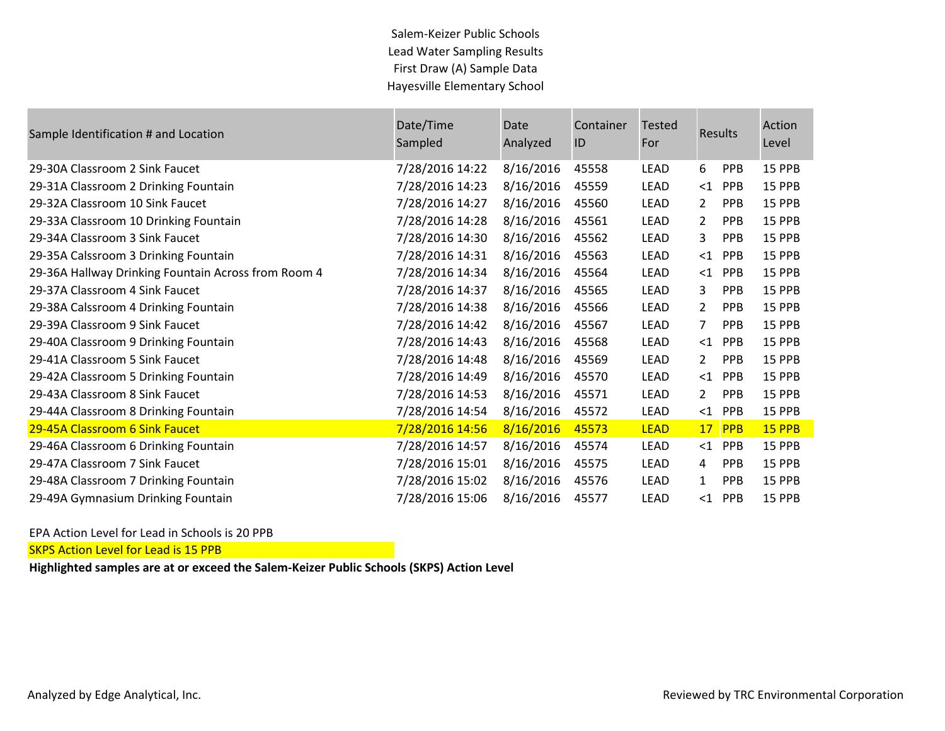Salem-Keizer Public Schools Lead Water Sampling Results First Draw (A) Sample Data Hayesville Elementary School

| Sample Identification # and Location                | Date/Time<br>Sampled | Date<br>Analyzed | Container<br>ID | <b>Tested</b><br>For |                 | <b>Results</b> | Action<br>Level |
|-----------------------------------------------------|----------------------|------------------|-----------------|----------------------|-----------------|----------------|-----------------|
| 29-30A Classroom 2 Sink Faucet                      | 7/28/2016 14:22      | 8/16/2016        | 45558           | <b>LEAD</b>          | 6               | <b>PPB</b>     | 15 PPB          |
| 29-31A Classroom 2 Drinking Fountain                | 7/28/2016 14:23      | 8/16/2016        | 45559           | <b>LEAD</b>          | $<$ 1           | PPB            | 15 PPB          |
| 29-32A Classroom 10 Sink Faucet                     | 7/28/2016 14:27      | 8/16/2016        | 45560           | LEAD                 | $\overline{2}$  | <b>PPB</b>     | 15 PPB          |
| 29-33A Classroom 10 Drinking Fountain               | 7/28/2016 14:28      | 8/16/2016        | 45561           | <b>LEAD</b>          | $\overline{2}$  | <b>PPB</b>     | 15 PPB          |
| 29-34A Classroom 3 Sink Faucet                      | 7/28/2016 14:30      | 8/16/2016        | 45562           | <b>LEAD</b>          | 3               | <b>PPB</b>     | 15 PPB          |
| 29-35A Calssroom 3 Drinking Fountain                | 7/28/2016 14:31      | 8/16/2016        | 45563           | LEAD                 | $\leq$ 1        | <b>PPB</b>     | 15 PPB          |
| 29-36A Hallway Drinking Fountain Across from Room 4 | 7/28/2016 14:34      | 8/16/2016        | 45564           | <b>LEAD</b>          | $<$ 1           | <b>PPB</b>     | 15 PPB          |
| 29-37A Classroom 4 Sink Faucet                      | 7/28/2016 14:37      | 8/16/2016        | 45565           | <b>LEAD</b>          | 3               | <b>PPB</b>     | 15 PPB          |
| 29-38A Calssroom 4 Drinking Fountain                | 7/28/2016 14:38      | 8/16/2016        | 45566           | LEAD                 | 2               | <b>PPB</b>     | 15 PPB          |
| 29-39A Classroom 9 Sink Faucet                      | 7/28/2016 14:42      | 8/16/2016        | 45567           | LEAD                 | 7               | <b>PPB</b>     | 15 PPB          |
| 29-40A Classroom 9 Drinking Fountain                | 7/28/2016 14:43      | 8/16/2016        | 45568           | <b>LEAD</b>          | $<$ 1           | PPB            | 15 PPB          |
| 29-41A Classroom 5 Sink Faucet                      | 7/28/2016 14:48      | 8/16/2016        | 45569           | LEAD                 | 2               | <b>PPB</b>     | 15 PPB          |
| 29-42A Classroom 5 Drinking Fountain                | 7/28/2016 14:49      | 8/16/2016        | 45570           | <b>LEAD</b>          | $\leq$ 1        | PPB            | 15 PPB          |
| 29-43A Classroom 8 Sink Faucet                      | 7/28/2016 14:53      | 8/16/2016        | 45571           | <b>LEAD</b>          | $\overline{2}$  | <b>PPB</b>     | 15 PPB          |
| 29-44A Classroom 8 Drinking Fountain                | 7/28/2016 14:54      | 8/16/2016        | 45572           | <b>LEAD</b>          | $\leq$ 1        | <b>PPB</b>     | 15 PPB          |
| 29-45A Classroom 6 Sink Faucet                      | 7/28/2016 14:56      | 8/16/2016        | 45573           | <b>LEAD</b>          | 17 <sup>7</sup> | PPB            | 15 PPB          |
| 29-46A Classroom 6 Drinking Fountain                | 7/28/2016 14:57      | 8/16/2016        | 45574           | <b>LEAD</b>          | $\leq$ 1        | PPB            | 15 PPB          |
| 29-47A Classroom 7 Sink Faucet                      | 7/28/2016 15:01      | 8/16/2016        | 45575           | <b>LEAD</b>          | 4               | <b>PPB</b>     | 15 PPB          |
| 29-48A Classroom 7 Drinking Fountain                | 7/28/2016 15:02      | 8/16/2016        | 45576           | <b>LEAD</b>          | 1               | <b>PPB</b>     | 15 PPB          |
| 29-49A Gymnasium Drinking Fountain                  | 7/28/2016 15:06      | 8/16/2016        | 45577           | LEAD                 | $<$ 1           | <b>PPB</b>     | 15 PPB          |

EPA Action Level for Lead in Schools is 20 PPB

SKPS Action Level for Lead is 15 PPB

**Highlighted samples are at or exceed the Salem-Keizer Public Schools (SKPS) Action Level**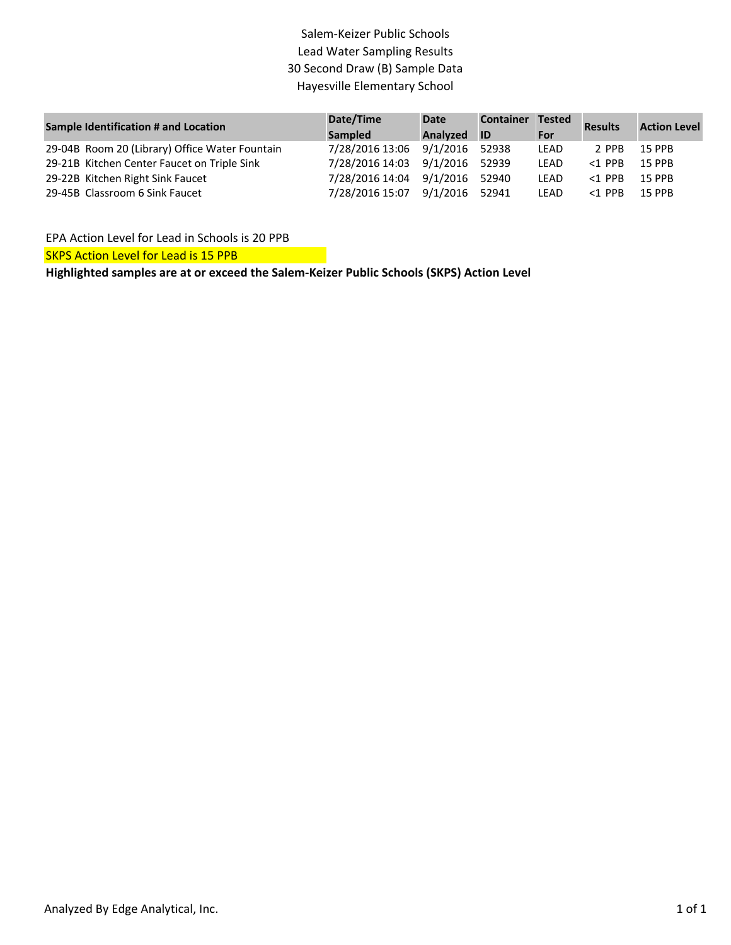## Salem‐Keizer Public Schools Lead Water Sampling Results 30 Second Draw (B) Sample Data Hayesville Elementary School

| Sample Identification # and Location           | Date/Time       | <b>Date</b>    | <b>Container</b> | <b>Tested</b> | <b>Results</b> | <b>Action Level</b> |  |
|------------------------------------------------|-----------------|----------------|------------------|---------------|----------------|---------------------|--|
|                                                | Sampled         | Analyzed       | <b>ID</b>        | For           |                |                     |  |
| 29-04B Room 20 (Library) Office Water Fountain | 7/28/2016 13:06 | 9/1/2016 52938 |                  | LEAD          | 2 PPB          | 15 PPB              |  |
| 29-21B Kitchen Center Faucet on Triple Sink    | 7/28/2016 14:03 | 9/1/2016 52939 |                  | <b>LEAD</b>   | $<$ 1 PPR      | <b>15 PPB</b>       |  |
| 29-22B Kitchen Right Sink Faucet               | 7/28/2016 14:04 | 9/1/2016 52940 |                  | <b>LEAD</b>   | $<$ 1 PPR      | <b>15 PPB</b>       |  |
| 29-45B Classroom 6 Sink Faucet                 | 7/28/2016 15:07 | 9/1/2016 52941 |                  | LEAD          | $<$ 1 PPB      | <b>15 PPB</b>       |  |

EPA Action Level for Lead in Schools is 20 PPB

SKPS Action Level for Lead is 15 PPB

**Highlighted samples are at or exceed the Salem‐Keizer Public Schools (SKPS) Action Level**